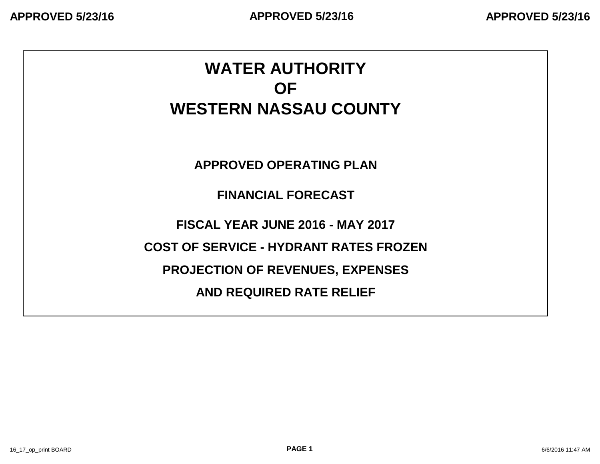# **WATER AUTHORITY OF WESTERN NASSAU COUNTY**

**APPROVED OPERATING PLAN**

**FINANCIAL FORECAST**

**FISCAL YEAR JUNE 2016 - MAY 2017**

**COST OF SERVICE - HYDRANT RATES FROZEN**

**PROJECTION OF REVENUES, EXPENSES**

**AND REQUIRED RATE RELIEF**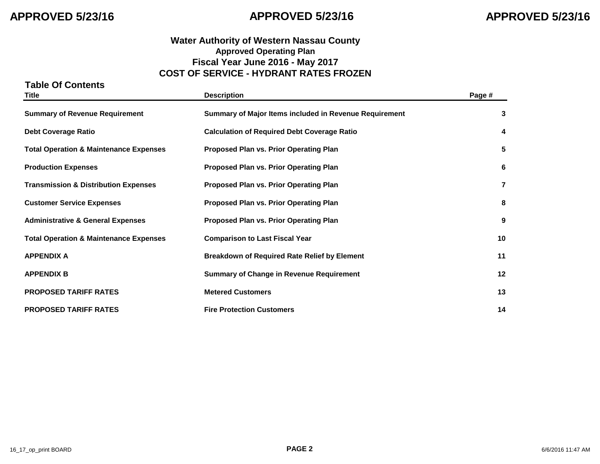### **Water Authority of Western Nassau County Approved Operating Plan Fiscal Year June 2016 - May 2017 COST OF SERVICE - HYDRANT RATES FROZEN**

# **Table Of Contents Title Description Page # Summary of Revenue Requirement Summary of Major Items included in Revenue Requirement 3 Debt Coverage Ratio Calculation of Required Debt Coverage Ratio 4 Total Operation & Maintenance Expenses Proposed Plan vs. Prior Operating Plan 5 Production Expenses Proposed Plan vs. Prior Operating Plan 6 Transmission & Distribution Expenses Proposed Plan vs. Prior Operating Plan 7 Customer Service Expenses Proposed Plan vs. Prior Operating Plan 8 Administrative & General Expenses Proposed Plan vs. Prior Operating Plan 9 Total Operation & Maintenance Expenses Comparison to Last Fiscal Year 10 APPENDIX A Breakdown of Required Rate Relief by Element 11 APPENDIX B Summary of Change in Revenue Requirement 12 PROPOSED TARIFF RATES Metered Customers 13 PROPOSED TARIFF RATES Fire Protection Customers 14**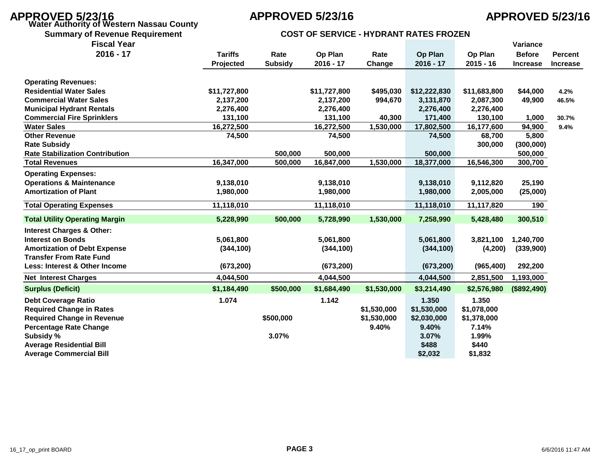# **APPROVED 5/23/16 APPROVED 5/23/16 APPROVED 5/23/16 Water Authority of Western Nassau County**

| <b>COST OF SERVICE - HYDRANT RATES FROZEN</b><br><b>Summary of Revenue Requirement</b> |
|----------------------------------------------------------------------------------------|
|----------------------------------------------------------------------------------------|

| <b>Fiscal Year</b>                     |                |                |              |             |              |              | Variance        |                 |
|----------------------------------------|----------------|----------------|--------------|-------------|--------------|--------------|-----------------|-----------------|
| $2016 - 17$                            | <b>Tariffs</b> | Rate           | Op Plan      | Rate        | Op Plan      | Op Plan      | <b>Before</b>   | <b>Percent</b>  |
|                                        | Projected      | <b>Subsidy</b> | $2016 - 17$  | Change      | $2016 - 17$  | $2015 - 16$  | <b>Increase</b> | <b>Increase</b> |
| <b>Operating Revenues:</b>             |                |                |              |             |              |              |                 |                 |
| <b>Residential Water Sales</b>         | \$11,727,800   |                | \$11,727,800 | \$495,030   | \$12,222,830 | \$11,683,800 | \$44,000        | 4.2%            |
| <b>Commercial Water Sales</b>          | 2,137,200      |                | 2,137,200    | 994,670     | 3,131,870    | 2,087,300    | 49,900          | 46.5%           |
| <b>Municipal Hydrant Rentals</b>       | 2,276,400      |                | 2,276,400    |             | 2,276,400    | 2,276,400    |                 |                 |
| <b>Commercial Fire Sprinklers</b>      | 131,100        |                | 131,100      | 40,300      | 171,400      | 130,100      | 1,000           | 30.7%           |
| <b>Water Sales</b>                     | 16,272,500     |                | 16,272,500   | 1,530,000   | 17,802,500   | 16,177,600   | 94,900          | 9.4%            |
| <b>Other Revenue</b>                   | 74,500         |                | 74,500       |             | 74,500       | 68,700       | 5,800           |                 |
| <b>Rate Subsidy</b>                    |                |                |              |             |              | 300,000      | (300,000)       |                 |
| <b>Rate Stabilization Contribution</b> |                | 500,000        | 500,000      |             | 500,000      |              | 500,000         |                 |
| <b>Total Revenues</b>                  | 16,347,000     | 500,000        | 16,847,000   | 1,530,000   | 18,377,000   | 16,546,300   | 300,700         |                 |
| <b>Operating Expenses:</b>             |                |                |              |             |              |              |                 |                 |
| <b>Operations &amp; Maintenance</b>    | 9,138,010      |                | 9,138,010    |             | 9,138,010    | 9,112,820    | 25,190          |                 |
| <b>Amortization of Plant</b>           | 1,980,000      |                | 1,980,000    |             | 1,980,000    | 2,005,000    | (25,000)        |                 |
| <b>Total Operating Expenses</b>        | 11,118,010     |                | 11,118,010   |             | 11,118,010   | 11,117,820   | 190             |                 |
| <b>Total Utility Operating Margin</b>  | 5,228,990      | 500,000        | 5,728,990    | 1,530,000   | 7,258,990    | 5,428,480    | 300,510         |                 |
| <b>Interest Charges &amp; Other:</b>   |                |                |              |             |              |              |                 |                 |
| <b>Interest on Bonds</b>               | 5,061,800      |                | 5,061,800    |             | 5,061,800    | 3,821,100    | 1,240,700       |                 |
| <b>Amortization of Debt Expense</b>    | (344, 100)     |                | (344, 100)   |             | (344, 100)   | (4,200)      | (339,900)       |                 |
| <b>Transfer From Rate Fund</b>         |                |                |              |             |              |              |                 |                 |
| Less: Interest & Other Income          | (673, 200)     |                | (673, 200)   |             | (673, 200)   | (965, 400)   | 292,200         |                 |
| <b>Net Interest Charges</b>            | 4,044,500      |                | 4,044,500    |             | 4,044,500    | 2,851,500    | 1,193,000       |                 |
| <b>Surplus (Deficit)</b>               | \$1,184,490    | \$500,000      | \$1,684,490  | \$1,530,000 | \$3,214,490  | \$2,576,980  | (\$892,490)     |                 |
| <b>Debt Coverage Ratio</b>             | 1.074          |                | 1.142        |             | 1.350        | 1.350        |                 |                 |
| <b>Required Change in Rates</b>        |                |                |              | \$1,530,000 | \$1,530,000  | \$1,078,000  |                 |                 |
| <b>Required Change in Revenue</b>      |                | \$500,000      |              | \$1,530,000 | \$2,030,000  | \$1,378,000  |                 |                 |
| <b>Percentage Rate Change</b>          |                |                |              | 9.40%       | 9.40%        | 7.14%        |                 |                 |
| Subsidy %                              |                | 3.07%          |              |             | 3.07%        | 1.99%        |                 |                 |
| <b>Average Residential Bill</b>        |                |                |              |             | \$488        | \$440        |                 |                 |
| <b>Average Commercial Bill</b>         |                |                |              |             | \$2,032      | \$1,832      |                 |                 |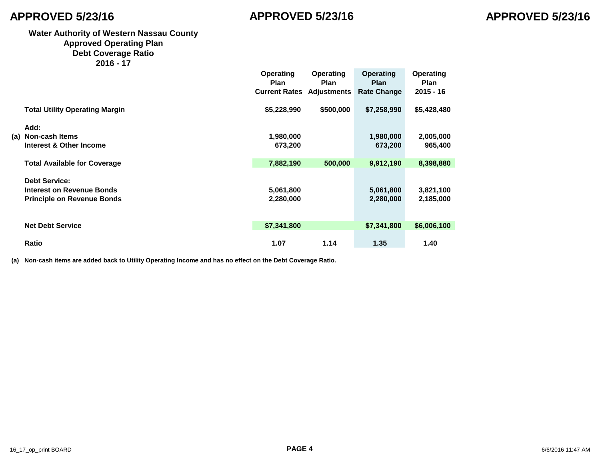### **Water Authority of Western Nassau County Approved Operating Plan Debt Coverage Ratio**

| 16ء20 |  |  |
|-------|--|--|
|-------|--|--|

|                                       | <b>Operating</b><br><b>Plan</b><br><b>Current Rates Adjustments</b> | Operating<br><b>Plan</b> | <b>Operating</b><br><b>Plan</b><br><b>Rate Change</b> | <b>Operating</b><br><b>Plan</b><br>$2015 - 16$ |
|---------------------------------------|---------------------------------------------------------------------|--------------------------|-------------------------------------------------------|------------------------------------------------|
| <b>Total Utility Operating Margin</b> | \$5,228,990                                                         | \$500,000                | \$7,258,990                                           | \$5,428,480                                    |
| Add:                                  |                                                                     |                          |                                                       |                                                |
| (a) Non-cash Items                    | 1,980,000                                                           |                          | 1,980,000                                             | 2,005,000                                      |
| Interest & Other Income               | 673,200                                                             |                          | 673,200                                               | 965,400                                        |
| <b>Total Available for Coverage</b>   | 7,882,190                                                           | 500,000                  | 9,912,190                                             | 8,398,880                                      |
| <b>Debt Service:</b>                  |                                                                     |                          |                                                       |                                                |
| Interest on Revenue Bonds             | 5,061,800                                                           |                          | 5,061,800                                             | 3,821,100                                      |
| <b>Principle on Revenue Bonds</b>     | 2,280,000                                                           |                          | 2,280,000                                             | 2,185,000                                      |
| <b>Net Debt Service</b>               | \$7,341,800                                                         |                          | \$7,341,800                                           | \$6,006,100                                    |
| <b>Ratio</b>                          | 1.07                                                                | 1.14                     | 1.35                                                  | 1.40                                           |

**(a) Non-cash items are added back to Utility Operating Income and has no effect on the Debt Coverage Ratio.**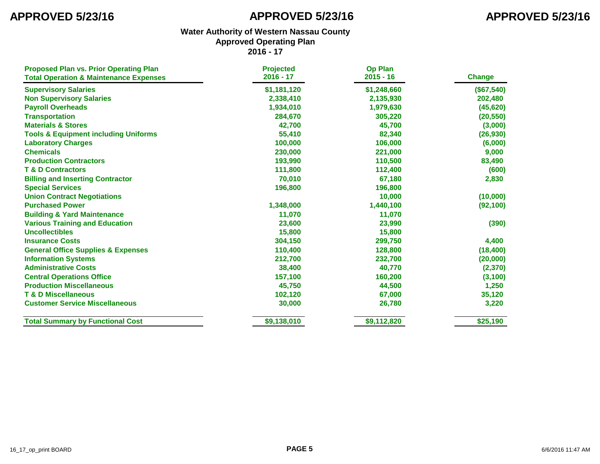| <b>Proposed Plan vs. Prior Operating Plan</b><br><b>Total Operation &amp; Maintenance Expenses</b> | <b>Projected</b><br>2016 - 17 | <b>Op Plan</b><br>$2015 - 16$ | <b>Change</b> |
|----------------------------------------------------------------------------------------------------|-------------------------------|-------------------------------|---------------|
|                                                                                                    |                               |                               |               |
| <b>Supervisory Salaries</b>                                                                        | \$1,181,120                   | \$1,248,660                   | (\$67,540)    |
| <b>Non Supervisory Salaries</b>                                                                    | 2,338,410                     | 2,135,930                     | 202,480       |
| <b>Payroll Overheads</b>                                                                           | 1,934,010                     | 1,979,630                     | (45, 620)     |
| <b>Transportation</b>                                                                              | 284,670                       | 305,220                       | (20, 550)     |
| <b>Materials &amp; Stores</b>                                                                      | 42,700                        | 45,700                        | (3,000)       |
| <b>Tools &amp; Equipment including Uniforms</b>                                                    | 55,410                        | 82,340                        | (26, 930)     |
| <b>Laboratory Charges</b>                                                                          | 100,000                       | 106,000                       | (6,000)       |
| <b>Chemicals</b>                                                                                   | 230,000                       | 221,000                       | 9,000         |
| <b>Production Contractors</b>                                                                      | 193,990                       | 110,500                       | 83,490        |
| <b>T &amp; D Contractors</b>                                                                       | 111,800                       | 112,400                       | (600)         |
| <b>Billing and Inserting Contractor</b>                                                            | 70,010                        | 67,180                        | 2,830         |
| <b>Special Services</b>                                                                            | 196,800                       | 196,800                       |               |
| <b>Union Contract Negotiations</b>                                                                 |                               | 10,000                        | (10,000)      |
| <b>Purchased Power</b>                                                                             | 1,348,000                     | 1,440,100                     | (92, 100)     |
| <b>Building &amp; Yard Maintenance</b>                                                             | 11,070                        | 11,070                        |               |
| <b>Various Training and Education</b>                                                              | 23,600                        | 23,990                        | (390)         |
| <b>Uncollectibles</b>                                                                              | 15,800                        | 15,800                        |               |
| <b>Insurance Costs</b>                                                                             | 304,150                       | 299,750                       | 4,400         |
| <b>General Office Supplies &amp; Expenses</b>                                                      | 110,400                       | 128,800                       | (18, 400)     |
| <b>Information Systems</b>                                                                         | 212,700                       | 232,700                       | (20,000)      |
| <b>Administrative Costs</b>                                                                        | 38,400                        | 40,770                        | (2, 370)      |
| <b>Central Operations Office</b>                                                                   | 157,100                       | 160,200                       | (3, 100)      |
| <b>Production Miscellaneous</b>                                                                    | 45,750                        | 44,500                        | 1,250         |
| <b>T &amp; D Miscellaneous</b>                                                                     | 102,120                       | 67,000                        | 35,120        |
| <b>Customer Service Miscellaneous</b>                                                              | 30,000                        | 26,780                        | 3,220         |
| <b>Total Summary by Functional Cost</b>                                                            | \$9,138,010                   | \$9,112,820                   | \$25,190      |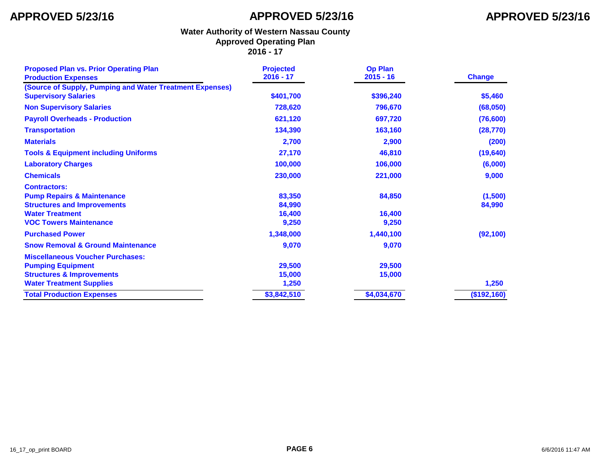| <b>Proposed Plan vs. Prior Operating Plan</b><br><b>Production Expenses</b>                                                                                   | <b>Projected</b><br>$2016 - 17$     | <b>Op Plan</b><br>$2015 - 16$ | <b>Change</b>     |
|---------------------------------------------------------------------------------------------------------------------------------------------------------------|-------------------------------------|-------------------------------|-------------------|
| (Source of Supply, Pumping and Water Treatment Expenses)<br><b>Supervisory Salaries</b>                                                                       | \$401,700                           | \$396,240                     | \$5,460           |
| <b>Non Supervisory Salaries</b>                                                                                                                               | 728,620                             | 796,670                       | (68,050)          |
| <b>Payroll Overheads - Production</b>                                                                                                                         | 621,120                             | 697,720                       | (76, 600)         |
| <b>Transportation</b>                                                                                                                                         | 134,390                             | 163,160                       | (28, 770)         |
| <b>Materials</b>                                                                                                                                              | 2,700                               | 2,900                         | (200)             |
| <b>Tools &amp; Equipment including Uniforms</b>                                                                                                               | 27,170                              | 46,810                        | (19, 640)         |
| <b>Laboratory Charges</b>                                                                                                                                     | 100,000                             | 106,000                       | (6,000)           |
| <b>Chemicals</b>                                                                                                                                              | 230,000                             | 221,000                       | 9,000             |
| <b>Contractors:</b><br><b>Pump Repairs &amp; Maintenance</b><br><b>Structures and Improvements</b><br><b>Water Treatment</b><br><b>VOC Towers Maintenance</b> | 83,350<br>84,990<br>16,400<br>9,250 | 84,850<br>16,400<br>9,250     | (1,500)<br>84,990 |
| <b>Purchased Power</b>                                                                                                                                        | 1,348,000                           | 1,440,100                     | (92, 100)         |
| <b>Snow Removal &amp; Ground Maintenance</b>                                                                                                                  | 9,070                               | 9,070                         |                   |
| <b>Miscellaneous Voucher Purchases:</b><br><b>Pumping Equipment</b><br><b>Structures &amp; Improvements</b>                                                   | 29,500<br>15,000                    | 29,500<br>15,000              |                   |
| <b>Water Treatment Supplies</b>                                                                                                                               | 1,250                               |                               | 1,250             |
| <b>Total Production Expenses</b>                                                                                                                              | \$3,842,510                         | \$4,034,670                   | (\$192,160)       |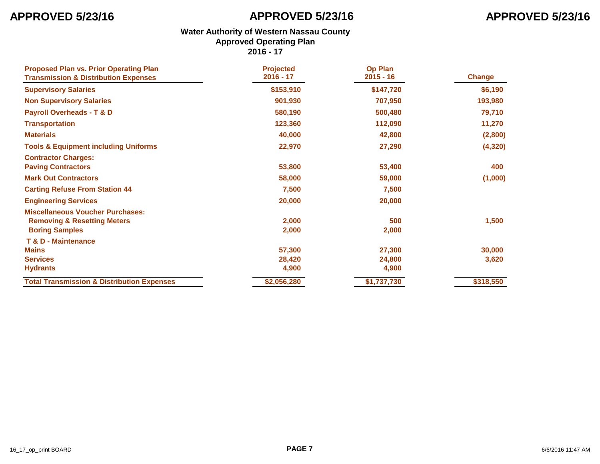| <b>Proposed Plan vs. Prior Operating Plan</b><br><b>Transmission &amp; Distribution Expenses</b>           | <b>Projected</b><br>$2016 - 17$ | <b>Op Plan</b><br>$2015 - 16$ | <b>Change</b> |
|------------------------------------------------------------------------------------------------------------|---------------------------------|-------------------------------|---------------|
| <b>Supervisory Salaries</b>                                                                                | \$153,910                       | \$147,720                     | \$6,190       |
| <b>Non Supervisory Salaries</b>                                                                            | 901,930                         | 707,950                       | 193,980       |
| <b>Payroll Overheads - T &amp; D</b>                                                                       | 580,190                         | 500,480                       | 79,710        |
| <b>Transportation</b>                                                                                      | 123,360                         | 112,090                       | 11,270        |
| <b>Materials</b>                                                                                           | 40,000                          | 42,800                        | (2,800)       |
| <b>Tools &amp; Equipment including Uniforms</b>                                                            | 22,970                          | 27,290                        | (4, 320)      |
| <b>Contractor Charges:</b><br><b>Paving Contractors</b>                                                    | 53,800                          | 53,400                        | 400           |
| <b>Mark Out Contractors</b>                                                                                | 58,000                          | 59,000                        | (1,000)       |
| <b>Carting Refuse From Station 44</b>                                                                      | 7,500                           | 7,500                         |               |
| <b>Engineering Services</b>                                                                                | 20,000                          | 20,000                        |               |
| <b>Miscellaneous Voucher Purchases:</b><br><b>Removing &amp; Resetting Meters</b><br><b>Boring Samples</b> | 2,000<br>2,000                  | 500<br>2,000                  | 1,500         |
| <b>T &amp; D - Maintenance</b>                                                                             |                                 |                               |               |
| <b>Mains</b>                                                                                               | 57,300                          | 27,300                        | 30,000        |
| <b>Services</b>                                                                                            | 28,420                          | 24,800                        | 3,620         |
| <b>Hydrants</b>                                                                                            | 4,900                           | 4,900                         |               |
| <b>Total Transmission &amp; Distribution Expenses</b>                                                      | \$2,056,280                     | \$1,737,730                   | \$318,550     |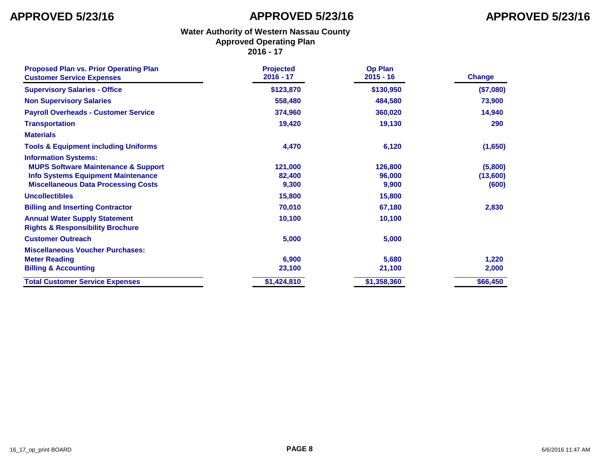| <b>Proposed Plan vs. Prior Operating Plan</b><br><b>Customer Service Expenses</b>                                                                                        | <b>Projected</b><br>$2016 - 17$ | <b>Op Plan</b><br>$2015 - 16$ | <b>Change</b>                |
|--------------------------------------------------------------------------------------------------------------------------------------------------------------------------|---------------------------------|-------------------------------|------------------------------|
| <b>Supervisory Salaries - Office</b>                                                                                                                                     | \$123,870                       | \$130,950                     | (\$7,080)                    |
| <b>Non Supervisory Salaries</b>                                                                                                                                          | 558,480                         | 484,580                       | 73,900                       |
| <b>Payroll Overheads - Customer Service</b>                                                                                                                              | 374,960                         | 360,020                       | 14,940                       |
| <b>Transportation</b>                                                                                                                                                    | 19,420                          | 19,130                        | 290                          |
| <b>Materials</b>                                                                                                                                                         |                                 |                               |                              |
| <b>Tools &amp; Equipment including Uniforms</b>                                                                                                                          | 4,470                           | 6,120                         | (1,650)                      |
| <b>Information Systems:</b><br><b>MUPS Software Maintenance &amp; Support</b><br><b>Info Systems Equipment Maintenance</b><br><b>Miscellaneous Data Processing Costs</b> | 121,000<br>82,400<br>9,300      | 126,800<br>96,000<br>9,900    | (5,800)<br>(13,600)<br>(600) |
| <b>Uncollectibles</b>                                                                                                                                                    | 15,800                          | 15,800                        |                              |
| <b>Billing and Inserting Contractor</b>                                                                                                                                  | 70,010                          | 67,180                        | 2,830                        |
| <b>Annual Water Supply Statement</b><br><b>Rights &amp; Responsibility Brochure</b>                                                                                      | 10,100                          | 10,100                        |                              |
| <b>Customer Outreach</b>                                                                                                                                                 | 5,000                           | 5,000                         |                              |
| <b>Miscellaneous Voucher Purchases:</b><br><b>Meter Reading</b><br><b>Billing &amp; Accounting</b>                                                                       | 6,900<br>23,100                 | 5,680<br>21,100               | 1,220<br>2,000               |
| <b>Total Customer Service Expenses</b>                                                                                                                                   | \$1,424,810                     | \$1,358,360                   | \$66,450                     |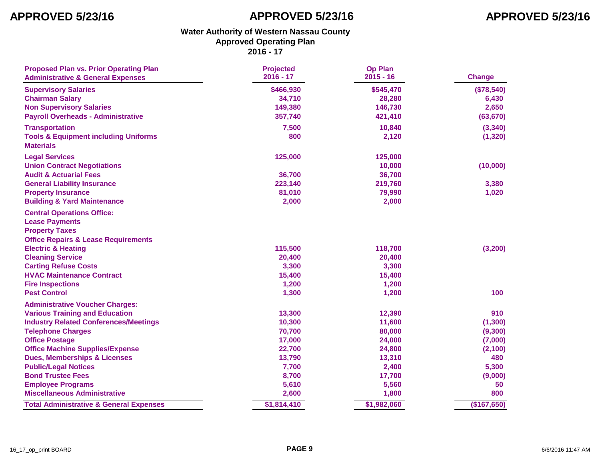| <b>Proposed Plan vs. Prior Operating Plan</b><br><b>Administrative &amp; General Expenses</b> | <b>Projected</b><br>$2016 - 17$ | <b>Op Plan</b><br>$2015 - 16$ | Change      |
|-----------------------------------------------------------------------------------------------|---------------------------------|-------------------------------|-------------|
| <b>Supervisory Salaries</b>                                                                   | \$466,930                       | \$545,470                     | (\$78,540)  |
| <b>Chairman Salary</b>                                                                        | 34,710                          | 28,280                        | 6,430       |
| <b>Non Supervisory Salaries</b>                                                               | 149,380                         | 146,730                       | 2,650       |
| <b>Payroll Overheads - Administrative</b>                                                     | 357,740                         | 421,410                       | (63, 670)   |
| <b>Transportation</b>                                                                         | 7,500                           | 10,840                        | (3, 340)    |
| <b>Tools &amp; Equipment including Uniforms</b><br><b>Materials</b>                           | 800                             | 2,120                         | (1, 320)    |
| <b>Legal Services</b>                                                                         | 125,000                         | 125,000                       |             |
| <b>Union Contract Negotiations</b>                                                            |                                 | 10,000                        | (10,000)    |
| <b>Audit &amp; Actuarial Fees</b>                                                             | 36,700                          | 36,700                        |             |
| <b>General Liability Insurance</b>                                                            | 223,140                         | 219,760                       | 3,380       |
| <b>Property Insurance</b>                                                                     | 81,010                          | 79,990                        | 1,020       |
| <b>Building &amp; Yard Maintenance</b>                                                        | 2,000                           | 2,000                         |             |
| <b>Central Operations Office:</b>                                                             |                                 |                               |             |
| <b>Lease Payments</b>                                                                         |                                 |                               |             |
| <b>Property Taxes</b>                                                                         |                                 |                               |             |
| <b>Office Repairs &amp; Lease Requirements</b>                                                |                                 |                               |             |
| <b>Electric &amp; Heating</b>                                                                 | 115,500                         | 118,700                       | (3,200)     |
| <b>Cleaning Service</b>                                                                       | 20,400                          | 20,400                        |             |
| <b>Carting Refuse Costs</b>                                                                   | 3,300                           | 3,300                         |             |
| <b>HVAC Maintenance Contract</b>                                                              | 15,400                          | 15,400                        |             |
| <b>Fire Inspections</b>                                                                       | 1,200                           | 1,200                         |             |
| <b>Pest Control</b>                                                                           | 1,300                           | 1,200                         | 100         |
| <b>Administrative Voucher Charges:</b>                                                        |                                 |                               |             |
| <b>Various Training and Education</b>                                                         | 13,300                          | 12,390                        | 910         |
| <b>Industry Related Conferences/Meetings</b>                                                  | 10,300                          | 11,600                        | (1, 300)    |
| <b>Telephone Charges</b>                                                                      | 70,700                          | 80,000                        | (9,300)     |
| <b>Office Postage</b>                                                                         | 17,000                          | 24,000                        | (7,000)     |
| <b>Office Machine Supplies/Expense</b>                                                        | 22,700                          | 24,800                        | (2, 100)    |
| <b>Dues, Memberships &amp; Licenses</b>                                                       | 13,790                          | 13,310                        | 480         |
| <b>Public/Legal Notices</b>                                                                   | 7,700                           | 2,400                         | 5,300       |
| <b>Bond Trustee Fees</b>                                                                      | 8,700                           | 17,700                        | (9,000)     |
| <b>Employee Programs</b>                                                                      | 5,610                           | 5,560                         | 50          |
| <b>Miscellaneous Administrative</b>                                                           | 2,600                           | 1,800                         | 800         |
| <b>Total Administrative &amp; General Expenses</b>                                            | \$1,814,410                     | \$1,982,060                   | (\$167,650) |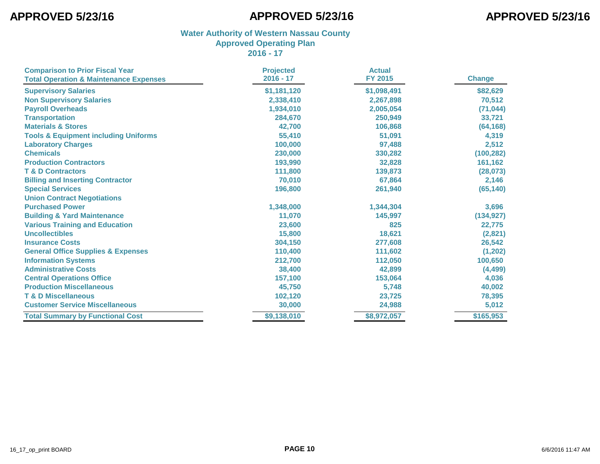| <b>Comparison to Prior Fiscal Year</b>            | <b>Projected</b><br>2016 - 17 | <b>Actual</b><br><b>FY 2015</b> | <b>Change</b> |
|---------------------------------------------------|-------------------------------|---------------------------------|---------------|
| <b>Total Operation &amp; Maintenance Expenses</b> |                               |                                 |               |
| <b>Supervisory Salaries</b>                       | \$1,181,120                   | \$1,098,491                     | \$82,629      |
| <b>Non Supervisory Salaries</b>                   | 2,338,410                     | 2,267,898                       | 70,512        |
| <b>Payroll Overheads</b>                          | 1,934,010                     | 2,005,054                       | (71, 044)     |
| <b>Transportation</b>                             | 284,670                       | 250,949                         | 33,721        |
| <b>Materials &amp; Stores</b>                     | 42,700                        | 106,868                         | (64, 168)     |
| <b>Tools &amp; Equipment including Uniforms</b>   | 55,410                        | 51,091                          | 4,319         |
| <b>Laboratory Charges</b>                         | 100,000                       | 97,488                          | 2,512         |
| <b>Chemicals</b>                                  | 230,000                       | 330,282                         | (100, 282)    |
| <b>Production Contractors</b>                     | 193,990                       | 32,828                          | 161,162       |
| <b>T &amp; D Contractors</b>                      | 111,800                       | 139,873                         | (28, 073)     |
| <b>Billing and Inserting Contractor</b>           | 70,010                        | 67,864                          | 2,146         |
| <b>Special Services</b>                           | 196,800                       | 261,940                         | (65, 140)     |
| <b>Union Contract Negotiations</b>                |                               |                                 |               |
| <b>Purchased Power</b>                            | 1,348,000                     | 1,344,304                       | 3,696         |
| <b>Building &amp; Yard Maintenance</b>            | 11,070                        | 145,997                         | (134, 927)    |
| <b>Various Training and Education</b>             | 23,600                        | 825                             | 22,775        |
| <b>Uncollectibles</b>                             | 15,800                        | 18,621                          | (2,821)       |
| <b>Insurance Costs</b>                            | 304,150                       | 277,608                         | 26,542        |
| <b>General Office Supplies &amp; Expenses</b>     | 110,400                       | 111,602                         | (1, 202)      |
| <b>Information Systems</b>                        | 212,700                       | 112,050                         | 100,650       |
| <b>Administrative Costs</b>                       | 38,400                        | 42,899                          | (4, 499)      |
| <b>Central Operations Office</b>                  | 157,100                       | 153,064                         | 4,036         |
| <b>Production Miscellaneous</b>                   | 45,750                        | 5,748                           | 40,002        |
| <b>T &amp; D Miscellaneous</b>                    | 102,120                       | 23,725                          | 78,395        |
| <b>Customer Service Miscellaneous</b>             | 30,000                        | 24,988                          | 5,012         |
| <b>Total Summary by Functional Cost</b>           | \$9,138,010                   | \$8,972,057                     | \$165,953     |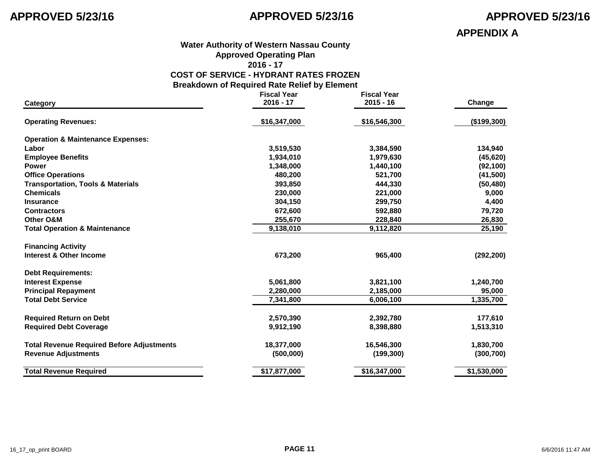**APPENDIX A**

### **Water Authority of Western Nassau County Approved Operating Plan 2016 - 17**

### **COST OF SERVICE - HYDRANT RATES FROZEN**

**Breakdown of Required Rate Relief by Element**

|                                                  | <b>Fiscal Year</b> | <b>Fiscal Year</b> |             |
|--------------------------------------------------|--------------------|--------------------|-------------|
| Category                                         | $2016 - 17$        | $2015 - 16$        | Change      |
| <b>Operating Revenues:</b>                       | \$16,347,000       | \$16,546,300       | (\$199,300) |
| <b>Operation &amp; Maintenance Expenses:</b>     |                    |                    |             |
| Labor                                            | 3,519,530          | 3,384,590          | 134,940     |
| <b>Employee Benefits</b>                         | 1,934,010          | 1,979,630          | (45, 620)   |
| <b>Power</b>                                     | 1,348,000          | 1,440,100          | (92, 100)   |
| <b>Office Operations</b>                         | 480,200            | 521,700            | (41,500)    |
| <b>Transportation, Tools &amp; Materials</b>     | 393,850            | 444,330            | (50, 480)   |
| <b>Chemicals</b>                                 | 230,000            | 221,000            | 9,000       |
| <b>Insurance</b>                                 | 304,150            | 299,750            | 4,400       |
| <b>Contractors</b>                               | 672,600            | 592,880            | 79,720      |
| Other O&M                                        | 255,670            | 228,840            | 26,830      |
| <b>Total Operation &amp; Maintenance</b>         | 9,138,010          | 9,112,820          | 25,190      |
| <b>Financing Activity</b>                        |                    |                    |             |
| Interest & Other Income                          | 673,200            | 965,400            | (292, 200)  |
| <b>Debt Requirements:</b>                        |                    |                    |             |
| <b>Interest Expense</b>                          | 5,061,800          | 3,821,100          | 1,240,700   |
| <b>Principal Repayment</b>                       | 2,280,000          | 2,185,000          | 95,000      |
| <b>Total Debt Service</b>                        | 7,341,800          | 6,006,100          | 1,335,700   |
| <b>Required Return on Debt</b>                   | 2,570,390          | 2,392,780          | 177,610     |
| <b>Required Debt Coverage</b>                    | 9,912,190          | 8,398,880          | 1,513,310   |
| <b>Total Revenue Required Before Adjustments</b> | 18,377,000         | 16,546,300         | 1,830,700   |
| <b>Revenue Adjustments</b>                       | (500,000)          | (199, 300)         | (300, 700)  |
| <b>Total Revenue Required</b>                    | \$17,877,000       | \$16,347,000       | \$1,530,000 |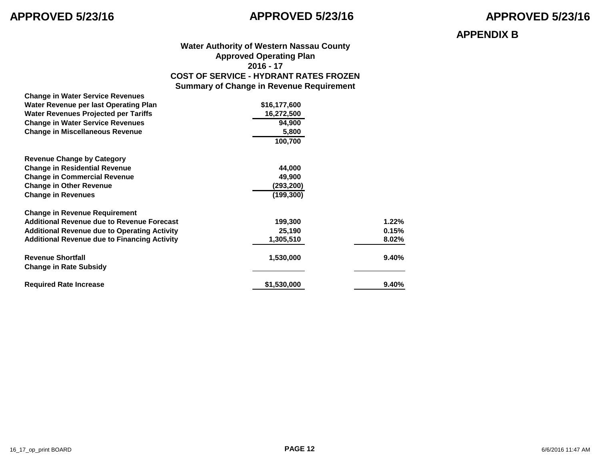### **APPENDIX B**

### **Water Authority of Western Nassau County Approved Operating Plan 2016 - 17 COST OF SERVICE - HYDRANT RATES FROZEN Summary of Change in Revenue Requirement**

| <b>Change in Water Service Revenues</b>             |              |       |
|-----------------------------------------------------|--------------|-------|
| Water Revenue per last Operating Plan               | \$16,177,600 |       |
| <b>Water Revenues Projected per Tariffs</b>         | 16,272,500   |       |
| <b>Change in Water Service Revenues</b>             | 94,900       |       |
| <b>Change in Miscellaneous Revenue</b>              | 5,800        |       |
|                                                     | 100,700      |       |
| <b>Revenue Change by Category</b>                   |              |       |
| <b>Change in Residential Revenue</b>                | 44,000       |       |
| <b>Change in Commercial Revenue</b>                 | 49,900       |       |
| <b>Change in Other Revenue</b>                      | (293,200)    |       |
| <b>Change in Revenues</b>                           | (199, 300)   |       |
| <b>Change in Revenue Requirement</b>                |              |       |
| <b>Additional Revenue due to Revenue Forecast</b>   | 199,300      | 1.22% |
| <b>Additional Revenue due to Operating Activity</b> | 25,190       | 0.15% |
| <b>Additional Revenue due to Financing Activity</b> | 1,305,510    | 8.02% |
| <b>Revenue Shortfall</b>                            | 1,530,000    | 9.40% |
| <b>Change in Rate Subsidy</b>                       |              |       |
| <b>Required Rate Increase</b>                       | \$1,530,000  | 9.40% |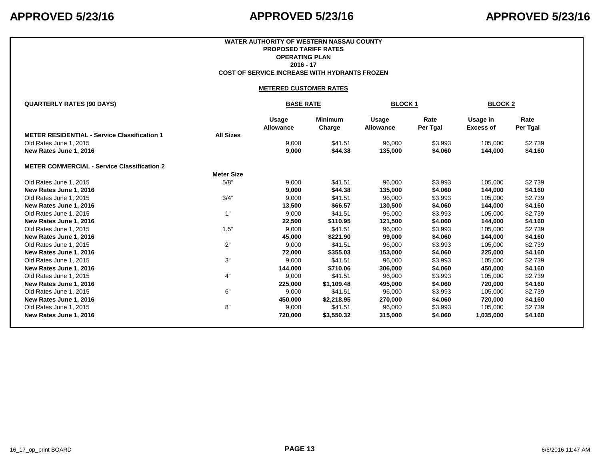### **WATER AUTHORITY OF WESTERN NASSAU COUNTY PROPOSED TARIFF RATES OPERATING PLAN 2016 - 17 COST OF SERVICE INCREASE WITH HYDRANTS FROZEN**

### **METERED CUSTOMER RATES**

|                           | <b>BLOCK1</b><br><b>BLOCK2</b> |                           |                  |                              |                                 |
|---------------------------|--------------------------------|---------------------------|------------------|------------------------------|---------------------------------|
| Usage<br><b>Allowance</b> | <b>Minimum</b><br>Charge       | Usage<br><b>Allowance</b> | Rate<br>Per Tgal | Usage in<br><b>Excess of</b> | Rate<br>Per Tgal                |
|                           |                                |                           |                  |                              |                                 |
| 9,000                     | \$41.51                        | 96,000                    | \$3.993          | 105,000                      | \$2.739                         |
| 9,000                     | \$44.38                        | 135,000                   | \$4.060          | 144,000                      | \$4.160                         |
|                           |                                |                           |                  |                              |                                 |
|                           |                                |                           |                  |                              |                                 |
| 9,000                     | \$41.51                        | 96,000                    | \$3.993          | 105,000                      | \$2.739                         |
| 9,000                     | \$44.38                        | 135,000                   | \$4.060          | 144,000                      | \$4.160                         |
| 9,000                     | \$41.51                        | 96,000                    | \$3.993          | 105,000                      | \$2.739                         |
| 13,500                    | \$66.57                        | 130,500                   | \$4.060          | 144,000                      | \$4.160                         |
| 9,000                     | \$41.51                        | 96,000                    | \$3.993          | 105,000                      | \$2.739                         |
| 22,500                    | \$110.95                       | 121,500                   | \$4.060          | 144,000                      | \$4.160                         |
| 9,000                     | \$41.51                        | 96,000                    | \$3.993          | 105,000                      | \$2.739                         |
| 45,000                    | \$221.90                       | 99,000                    | \$4.060          | 144,000                      | \$4.160                         |
| 9,000                     | \$41.51                        | 96,000                    | \$3.993          | 105,000                      | \$2.739                         |
| 72,000                    | \$355.03                       | 153,000                   | \$4.060          | 225,000                      | \$4.160                         |
| 9,000                     | \$41.51                        | 96,000                    | \$3.993          | 105,000                      | \$2.739                         |
| 144,000                   | \$710.06                       | 306,000                   | \$4.060          | 450,000                      | \$4.160                         |
| 9,000                     | \$41.51                        | 96,000                    | \$3.993          | 105,000                      | \$2.739                         |
| 225,000                   | \$1,109.48                     | 495,000                   | \$4.060          | 720,000                      | \$4.160                         |
| 9,000                     | \$41.51                        | 96,000                    | \$3.993          | 105,000                      | \$2.739                         |
| 450,000                   | \$2,218.95                     | 270,000                   | \$4.060          | 720,000                      | \$4.160                         |
| 9,000                     | \$41.51                        | 96,000                    | \$3.993          | 105,000                      | \$2.739                         |
| 720,000                   | \$3,550.32                     |                           |                  |                              | \$4.160                         |
|                           | <b>Meter Size</b>              | <b>BASE RATE</b>          |                  |                              | \$4.060<br>1,035,000<br>315,000 |